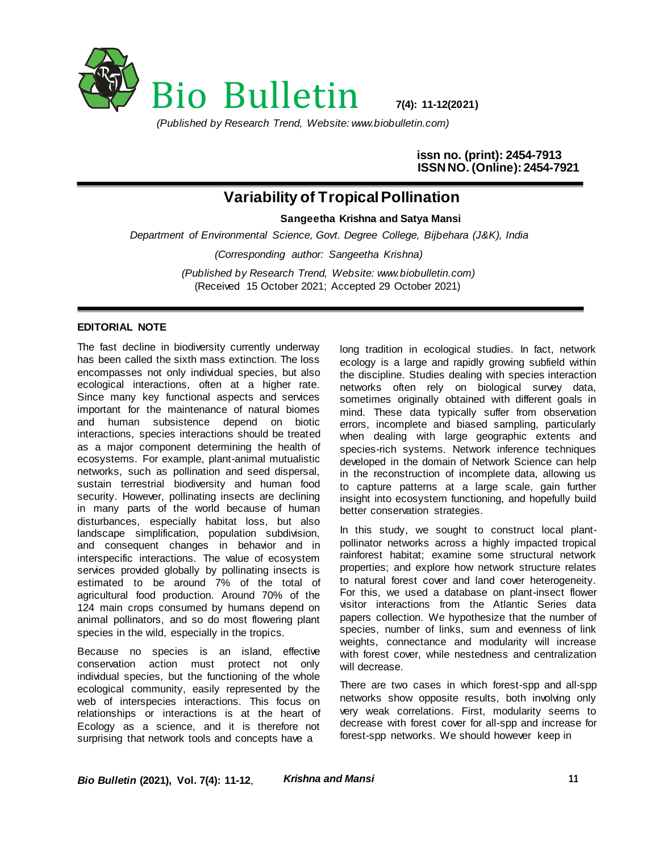

*(Published by Research Trend, Website: www.biobulletin.com)*

**issn no. (print): 2454-7913 ISSN NO. (Online): 2454-7921**

## **Variability of Tropical Pollination**

**Sangeetha Krishna and Satya Mansi** 

*Department of Environmental Science, Govt. Degree College, Bijbehara (J&K), India*

*(Corresponding author: Sangeetha Krishna)*

*(Published by Research Trend, Website: www.biobulletin.com)* (Received 15 October 2021; Accepted 29 October 2021)

## **EDITORIAL NOTE**

The fast decline in biodiversity currently underway has been called the sixth mass extinction. The loss encompasses not only individual species, but also ecological interactions, often at a higher rate. Since many key functional aspects and services important for the maintenance of natural biomes and human subsistence depend on biotic interactions, species interactions should be treated as a major component determining the health of ecosystems. For example, plant-animal mutualistic networks, such as pollination and seed dispersal, sustain terrestrial biodiversity and human food security. However, pollinating insects are declining in many parts of the world because of human disturbances, especially habitat loss, but also landscape simplification, population subdivision, and consequent changes in behavior and in interspecific interactions. The value of ecosystem services provided globally by pollinating insects is estimated to be around 7% of the total of agricultural food production. Around 70% of the 124 main crops consumed by humans depend on animal pollinators, and so do most flowering plant species in the wild, especially in the tropics.

Because no species is an island, effective conservation action must protect not only individual species, but the functioning of the whole ecological community, easily represented by the web of interspecies interactions. This focus on relationships or interactions is at the heart of Ecology as a science, and it is therefore not surprising that network tools and concepts have a

long tradition in ecological studies. In fact, network ecology is a large and rapidly growing subfield within the discipline. Studies dealing with species interaction networks often rely on biological survey data, sometimes originally obtained with different goals in mind. These data typically suffer from observation errors, incomplete and biased sampling, particularly when dealing with large geographic extents and species-rich systems. Network inference techniques developed in the domain of Network Science can help in the reconstruction of incomplete data, allowing us to capture patterns at a large scale, gain further insight into ecosystem functioning, and hopefully build better conservation strategies.

In this study, we sought to construct local plantpollinator networks across a highly impacted tropical rainforest habitat; examine some structural network properties; and explore how network structure relates to natural forest cover and land cover heterogeneity. For this, we used a database on plant-insect flower visitor interactions from the Atlantic Series data papers collection. We hypothesize that the number of species, number of links, sum and evenness of link weights, connectance and modularity will increase with forest cover, while nestedness and centralization will decrease.

There are two cases in which forest-spp and all-spp networks show opposite results, both involving only very weak correlations. First, modularity seems to decrease with forest cover for all-spp and increase for forest-spp networks. We should however keep in